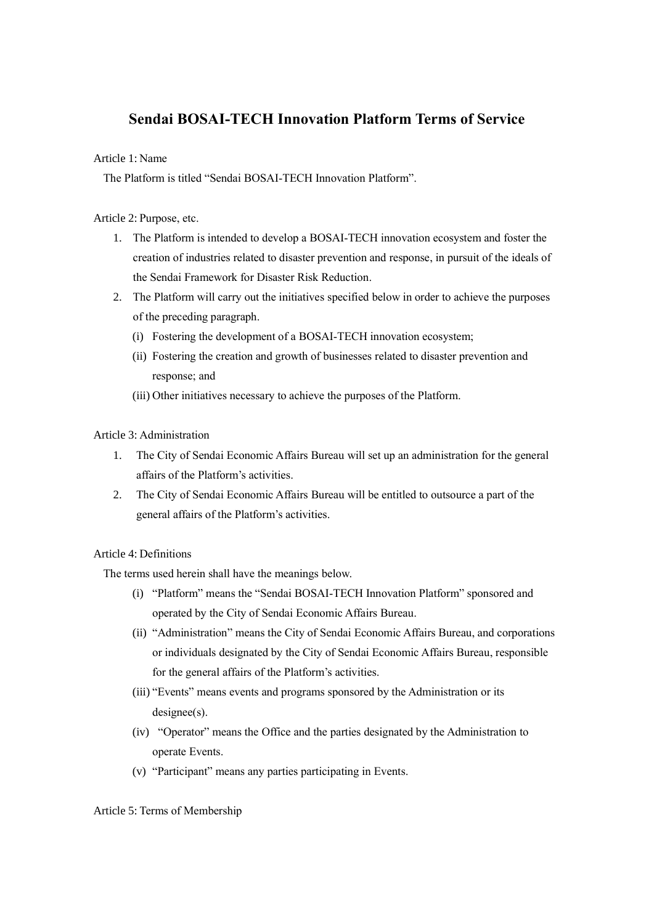# **Sendai BOSAI-TECH Innovation Platform Terms of Service**

Article 1: Name

The Platform is titled "Sendai BOSAI-TECH Innovation Platform".

Article 2: Purpose, etc.

- 1. The Platform is intended to develop a BOSAI-TECH innovation ecosystem and foster the creation of industries related to disaster prevention and response, in pursuit of the ideals of the Sendai Framework for Disaster Risk Reduction.
- 2. The Platform will carry out the initiatives specified below in order to achieve the purposes of the preceding paragraph.
	- (i) Fostering the development of a BOSAI-TECH innovation ecosystem;
	- (ii) Fostering the creation and growth of businesses related to disaster prevention and response; and
	- (iii) Other initiatives necessary to achieve the purposes of the Platform.

Article 3: Administration

- 1. The City of Sendai Economic Affairs Bureau will set up an administration for the general affairs of the Platform's activities.
- 2. The City of Sendai Economic Affairs Bureau will be entitled to outsource a part of the general affairs of the Platform's activities.

Article 4: Definitions

The terms used herein shall have the meanings below.

- (i) "Platform" means the "Sendai BOSAI-TECH Innovation Platform" sponsored and operated by the City of Sendai Economic Affairs Bureau.
- (ii) "Administration" means the City of Sendai Economic Affairs Bureau, and corporations or individuals designated by the City of Sendai Economic Affairs Bureau, responsible for the general affairs of the Platform's activities.
- (iii) "Events" means events and programs sponsored by the Administration or its designee(s).
- (iv) "Operator" means the Office and the parties designated by the Administration to operate Events.
- (v) "Participant" means any parties participating in Events.

Article 5: Terms of Membership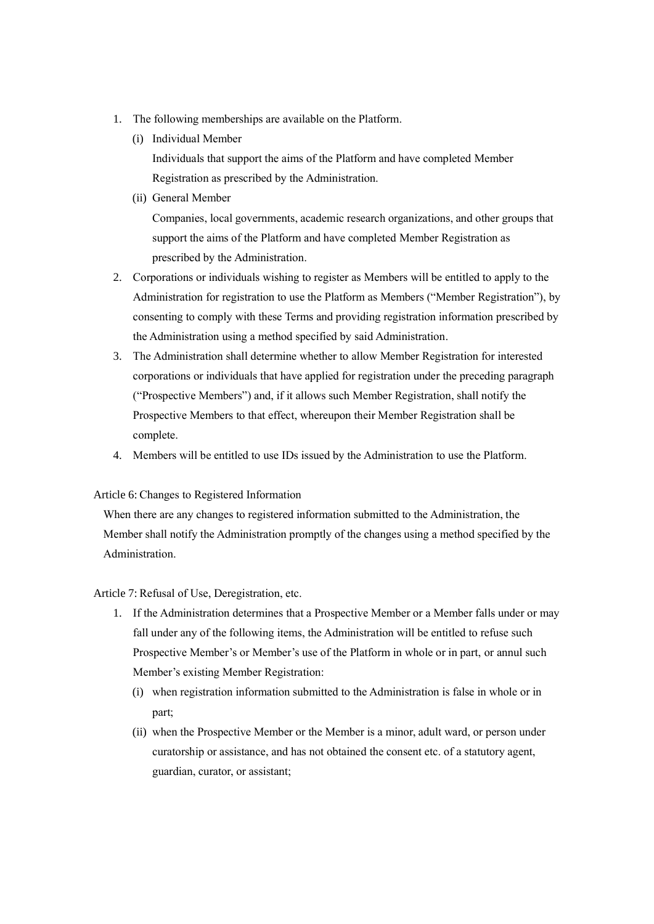- 1. The following memberships are available on the Platform.
	- (i) Individual Member

Individuals that support the aims of the Platform and have completed Member Registration as prescribed by the Administration.

(ii) General Member

Companies, local governments, academic research organizations, and other groups that support the aims of the Platform and have completed Member Registration as prescribed by the Administration.

- 2. Corporations or individuals wishing to register as Members will be entitled to apply to the Administration for registration to use the Platform as Members ("Member Registration"), by consenting to comply with these Terms and providing registration information prescribed by the Administration using a method specified by said Administration.
- 3. The Administration shall determine whether to allow Member Registration for interested corporations or individuals that have applied for registration under the preceding paragraph ("Prospective Members") and, if it allows such Member Registration, shall notify the Prospective Members to that effect, whereupon their Member Registration shall be complete.
- 4. Members will be entitled to use IDs issued by the Administration to use the Platform.

# Article 6: Changes to Registered Information

When there are any changes to registered information submitted to the Administration, the Member shall notify the Administration promptly of the changes using a method specified by the Administration.

# Article 7: Refusal of Use, Deregistration, etc.

- 1. If the Administration determines that a Prospective Member or a Member falls under or may fall under any of the following items, the Administration will be entitled to refuse such Prospective Member's or Member's use of the Platform in whole or in part, or annul such Member's existing Member Registration:
	- (i) when registration information submitted to the Administration is false in whole or in part;
	- (ii) when the Prospective Member or the Member is a minor, adult ward, or person under curatorship or assistance, and has not obtained the consent etc. of a statutory agent, guardian, curator, or assistant;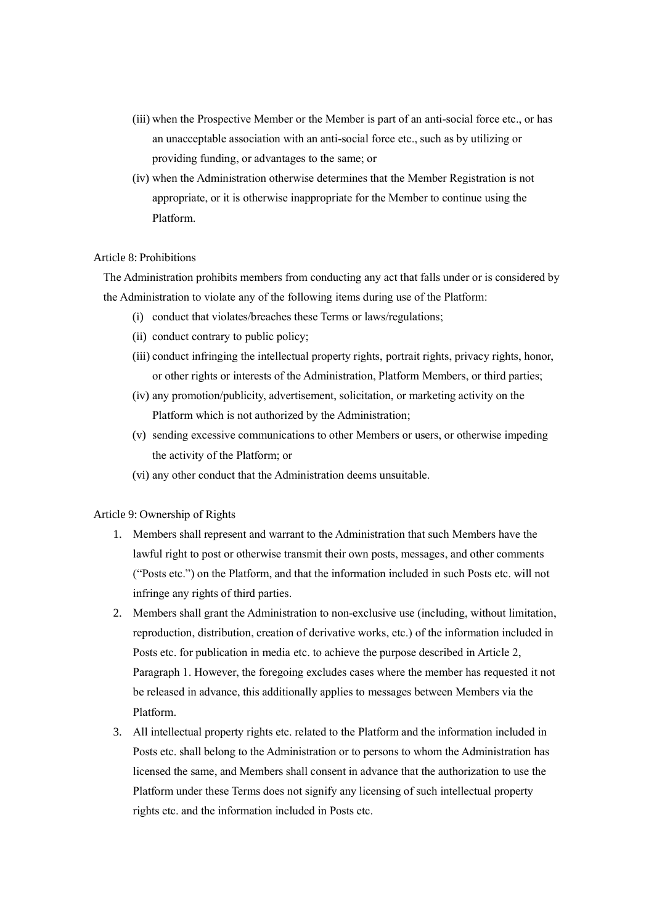- (iii) when the Prospective Member or the Member is part of an anti-social force etc., or has an unacceptable association with an anti-social force etc., such as by utilizing or providing funding, or advantages to the same; or
- (iv) when the Administration otherwise determines that the Member Registration is not appropriate, or it is otherwise inappropriate for the Member to continue using the Platform.

# Article 8: Prohibitions

The Administration prohibits members from conducting any act that falls under or is considered by the Administration to violate any of the following items during use of the Platform:

- (i) conduct that violates/breaches these Terms or laws/regulations;
- (ii) conduct contrary to public policy;
- (iii) conduct infringing the intellectual property rights, portrait rights, privacy rights, honor, or other rights or interests of the Administration, Platform Members, or third parties;
- (iv) any promotion/publicity, advertisement, solicitation, or marketing activity on the Platform which is not authorized by the Administration;
- (v) sending excessive communications to other Members or users, or otherwise impeding the activity of the Platform; or
- (vi) any other conduct that the Administration deems unsuitable.

#### Article 9: Ownership of Rights

- 1. Members shall represent and warrant to the Administration that such Members have the lawful right to post or otherwise transmit their own posts, messages, and other comments ("Posts etc.") on the Platform, and that the information included in such Posts etc. will not infringe any rights of third parties.
- 2. Members shall grant the Administration to non-exclusive use (including, without limitation, reproduction, distribution, creation of derivative works, etc.) of the information included in Posts etc. for publication in media etc. to achieve the purpose described in Article 2, Paragraph 1. However, the foregoing excludes cases where the member has requested it not be released in advance, this additionally applies to messages between Members via the Platform.
- 3. All intellectual property rights etc. related to the Platform and the information included in Posts etc. shall belong to the Administration or to persons to whom the Administration has licensed the same, and Members shall consent in advance that the authorization to use the Platform under these Terms does not signify any licensing of such intellectual property rights etc. and the information included in Posts etc.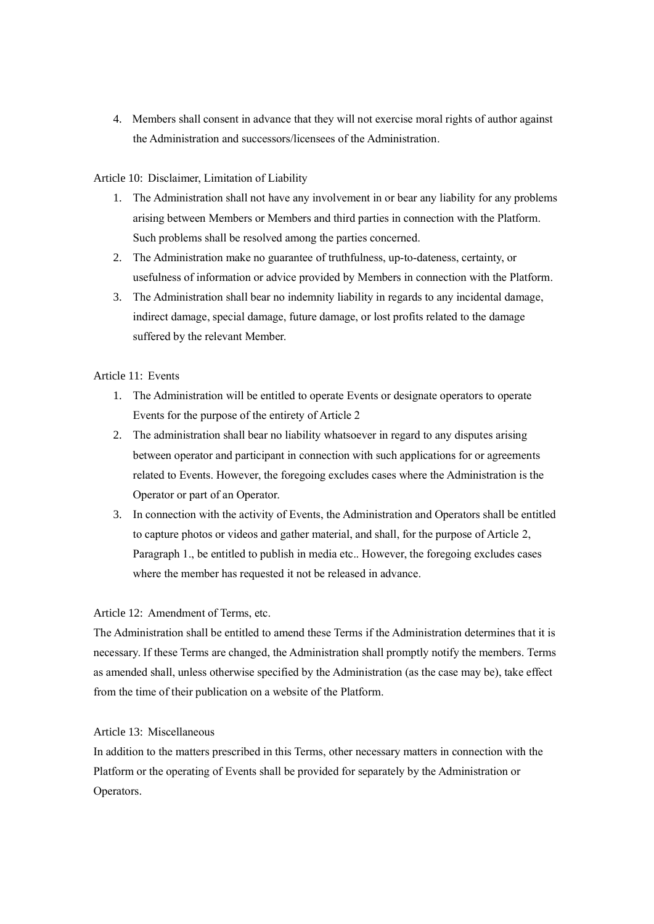4. Members shall consent in advance that they will not exercise moral rights of author against the Administration and successors/licensees of the Administration.

## Article 10: Disclaimer, Limitation of Liability

- 1. The Administration shall not have any involvement in or bear any liability for any problems arising between Members or Members and third parties in connection with the Platform. Such problems shall be resolved among the parties concerned.
- 2. The Administration make no guarantee of truthfulness, up-to-dateness, certainty, or usefulness of information or advice provided by Members in connection with the Platform.
- 3. The Administration shall bear no indemnity liability in regards to any incidental damage, indirect damage, special damage, future damage, or lost profits related to the damage suffered by the relevant Member.

## Article 11: Events

- 1. The Administration will be entitled to operate Events or designate operators to operate Events for the purpose of the entirety of Article 2
- 2. The administration shall bear no liability whatsoever in regard to any disputes arising between operator and participant in connection with such applications for or agreements related to Events. However, the foregoing excludes cases where the Administration is the Operator or part of an Operator.
- 3. In connection with the activity of Events, the Administration and Operators shall be entitled to capture photos or videos and gather material, and shall, for the purpose of Article 2, Paragraph 1., be entitled to publish in media etc.. However, the foregoing excludes cases where the member has requested it not be released in advance.

## Article 12: Amendment of Terms, etc.

The Administration shall be entitled to amend these Terms if the Administration determines that it is necessary. If these Terms are changed, the Administration shall promptly notify the members. Terms as amended shall, unless otherwise specified by the Administration (as the case may be), take effect from the time of their publication on a website of the Platform.

## Article 13: Miscellaneous

In addition to the matters prescribed in this Terms, other necessary matters in connection with the Platform or the operating of Events shall be provided for separately by the Administration or Operators.